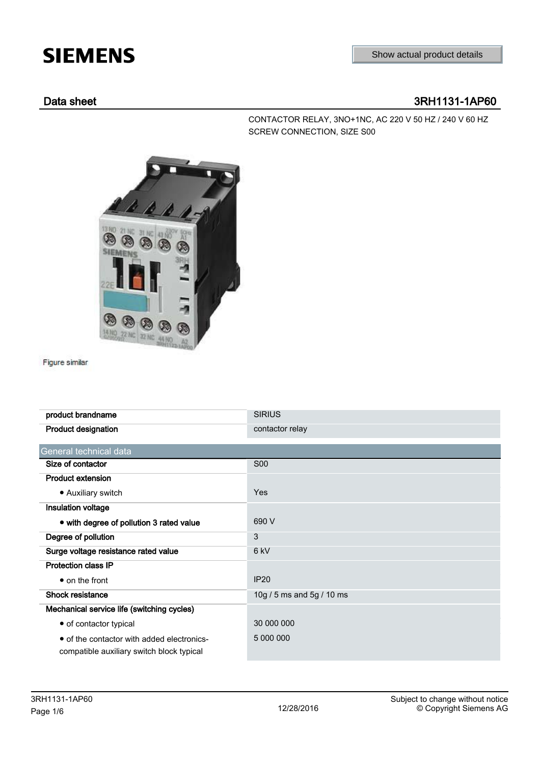# **SIEMENS**

## Data sheet 3RH1131-1AP60

CONTACTOR RELAY, 3NO+1NC, AC 220 V 50 HZ / 240 V 60 HZ SCREW CONNECTION, SIZE S00



#### Figure similar

| product brandname                          | <b>SIRIUS</b>             |
|--------------------------------------------|---------------------------|
| <b>Product designation</b>                 | contactor relay           |
|                                            |                           |
| General technical data                     |                           |
| Size of contactor                          | <b>S00</b>                |
| <b>Product extension</b>                   |                           |
| • Auxiliary switch                         | Yes                       |
| Insulation voltage                         |                           |
| • with degree of pollution 3 rated value   | 690 V                     |
| Degree of pollution                        | 3                         |
| Surge voltage resistance rated value       | 6 kV                      |
| <b>Protection class IP</b>                 |                           |
| $\bullet$ on the front                     | <b>IP20</b>               |
| Shock resistance                           | 10g / 5 ms and 5g / 10 ms |
| Mechanical service life (switching cycles) |                           |
| • of contactor typical                     | 30 000 000                |
| • of the contactor with added electronics- | 5 000 000                 |
| compatible auxiliary switch block typical  |                           |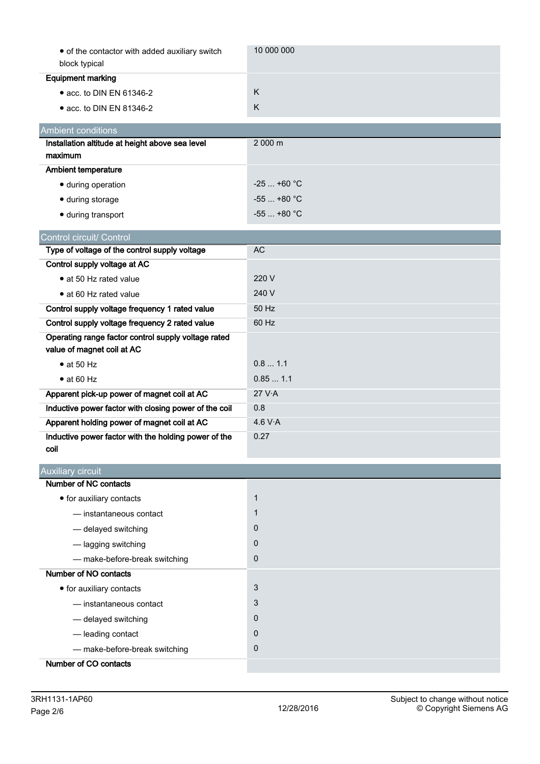| • of the contactor with added auxiliary switch<br>block typical                   | 10 000 000     |
|-----------------------------------------------------------------------------------|----------------|
| <b>Equipment marking</b>                                                          |                |
| • acc. to DIN EN 61346-2                                                          | K              |
| • acc. to DIN EN 81346-2                                                          | K              |
| Ambient conditions                                                                |                |
| Installation altitude at height above sea level                                   | 2 000 m        |
| maximum                                                                           |                |
| Ambient temperature                                                               |                |
| · during operation                                                                | $-25+60$ °C    |
| • during storage                                                                  | $-55+80$ °C    |
| · during transport                                                                | $-55+80 °C$    |
| Control circuit/ Control                                                          |                |
| Type of voltage of the control supply voltage                                     | AC             |
| Control supply voltage at AC                                                      |                |
| • at 50 Hz rated value                                                            | 220 V          |
| • at 60 Hz rated value                                                            | 240 V          |
| Control supply voltage frequency 1 rated value                                    | 50 Hz          |
| Control supply voltage frequency 2 rated value                                    | 60 Hz          |
| Operating range factor control supply voltage rated<br>value of magnet coil at AC |                |
| $\bullet$ at 50 Hz                                                                | 0.81.1         |
| $\bullet$ at 60 Hz                                                                | 0.851.1        |
| Apparent pick-up power of magnet coil at AC                                       | 27 V.A         |
| Inductive power factor with closing power of the coil                             | 0.8            |
| Apparent holding power of magnet coil at AC                                       | 4.6 V·A        |
| Inductive power factor with the holding power of the                              | 0.27           |
| coil                                                                              |                |
| Auxiliary circuit                                                                 |                |
| Number of NC contacts                                                             |                |
| • for auxiliary contacts                                                          | $\mathbf{1}$   |
| - instantaneous contact                                                           | 1              |
| - delayed switching                                                               | 0              |
| - lagging switching                                                               | $\mathbf 0$    |
| - make-before-break switching                                                     | 0              |
| Number of NO contacts                                                             |                |
| • for auxiliary contacts                                                          | $\mathfrak{S}$ |
| - instantaneous contact                                                           | 3              |
| - delayed switching                                                               | $\mathbf 0$    |
| - leading contact                                                                 | $\mathbf 0$    |
| - make-before-break switching                                                     | $\mathbf 0$    |
| Number of CO contacts                                                             |                |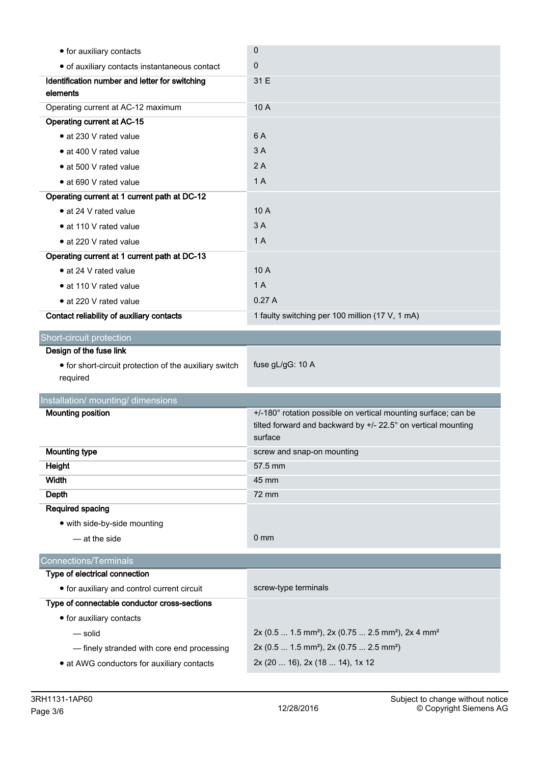| • for auxiliary contacts                               | 0                                                                                     |  |  |  |
|--------------------------------------------------------|---------------------------------------------------------------------------------------|--|--|--|
| · of auxiliary contacts instantaneous contact          | 0                                                                                     |  |  |  |
| Identification number and letter for switching         | 31 E                                                                                  |  |  |  |
| elements                                               |                                                                                       |  |  |  |
| Operating current at AC-12 maximum                     | 10 A                                                                                  |  |  |  |
| Operating current at AC-15                             |                                                                                       |  |  |  |
| • at 230 V rated value                                 | 6 A                                                                                   |  |  |  |
| • at 400 V rated value                                 | 3A                                                                                    |  |  |  |
| • at 500 V rated value                                 | 2A                                                                                    |  |  |  |
| • at 690 V rated value                                 | 1 A                                                                                   |  |  |  |
| Operating current at 1 current path at DC-12           |                                                                                       |  |  |  |
| • at 24 V rated value                                  | 10 A                                                                                  |  |  |  |
| • at 110 V rated value                                 | 3A                                                                                    |  |  |  |
| • at 220 V rated value                                 | 1A                                                                                    |  |  |  |
| Operating current at 1 current path at DC-13           |                                                                                       |  |  |  |
| • at 24 V rated value                                  | 10 A                                                                                  |  |  |  |
| • at 110 V rated value                                 | 1A                                                                                    |  |  |  |
| • at 220 V rated value                                 | 0.27A                                                                                 |  |  |  |
| Contact reliability of auxiliary contacts              | 1 faulty switching per 100 million (17 V, 1 mA)                                       |  |  |  |
|                                                        |                                                                                       |  |  |  |
|                                                        |                                                                                       |  |  |  |
| Short-circuit protection                               |                                                                                       |  |  |  |
| Design of the fuse link                                |                                                                                       |  |  |  |
| • for short-circuit protection of the auxiliary switch | fuse gL/gG: 10 A                                                                      |  |  |  |
| required                                               |                                                                                       |  |  |  |
| Installation/ mounting/ dimensions                     |                                                                                       |  |  |  |
| <b>Mounting position</b>                               | +/-180° rotation possible on vertical mounting surface; can be                        |  |  |  |
|                                                        | tilted forward and backward by +/- 22.5° on vertical mounting                         |  |  |  |
|                                                        | surface                                                                               |  |  |  |
| <b>Mounting type</b>                                   | screw and snap-on mounting<br>57.5 mm                                                 |  |  |  |
| Height<br>Width                                        | 45 mm                                                                                 |  |  |  |
| Depth                                                  | 72 mm                                                                                 |  |  |  |
| <b>Required spacing</b>                                |                                                                                       |  |  |  |
| • with side-by-side mounting                           |                                                                                       |  |  |  |
| - at the side                                          | 0 <sub>mm</sub>                                                                       |  |  |  |
|                                                        |                                                                                       |  |  |  |
| <b>Connections/Terminals</b>                           |                                                                                       |  |  |  |
| Type of electrical connection                          |                                                                                       |  |  |  |
| • for auxiliary and control current circuit            | screw-type terminals                                                                  |  |  |  |
| Type of connectable conductor cross-sections           |                                                                                       |  |  |  |
| • for auxiliary contacts<br>— solid                    | 2x (0.5  1.5 mm <sup>2</sup> ), 2x (0.75  2.5 mm <sup>2</sup> ), 2x 4 mm <sup>2</sup> |  |  |  |

- finely stranded with core end processing 2x (0.5 ... 1.5 mm²), 2x (0.75 ... 2.5 mm²)
- at AWG conductors for auxiliary contacts 2x (20 ... 16), 2x (18 ... 14), 1x 12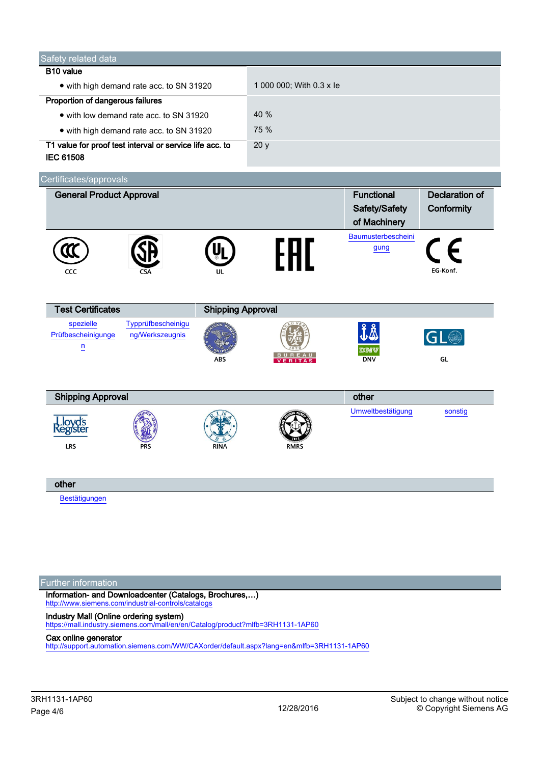| Safety related data                                                          |                          |  |  |  |  |
|------------------------------------------------------------------------------|--------------------------|--|--|--|--|
| B <sub>10</sub> value                                                        |                          |  |  |  |  |
| • with high demand rate acc. to SN 31920                                     | 1 000 000; With 0.3 x le |  |  |  |  |
| Proportion of dangerous failures                                             |                          |  |  |  |  |
| • with low demand rate acc. to SN 31920                                      | 40 %                     |  |  |  |  |
| • with high demand rate acc. to SN 31920                                     | 75 %                     |  |  |  |  |
| T1 value for proof test interval or service life acc. to<br><b>IEC 61508</b> | 20y                      |  |  |  |  |

| Certificates/approvals                                     |                                       |                          |                                 |                                                    |                                     |  |  |
|------------------------------------------------------------|---------------------------------------|--------------------------|---------------------------------|----------------------------------------------------|-------------------------------------|--|--|
| <b>General Product Approval</b>                            |                                       |                          |                                 | <b>Functional</b><br>Safety/Safety<br>of Machinery | <b>Declaration of</b><br>Conformity |  |  |
| CCC                                                        | CSA                                   | UL                       |                                 | Baumusterbescheini<br>gung                         | E<br>EG-Konf.                       |  |  |
| <b>Test Certificates</b>                                   |                                       | <b>Shipping Approval</b> |                                 |                                                    |                                     |  |  |
| spezielle<br>Prüfbescheinigunge<br>$\overline{\mathsf{n}}$ | Typprüfbescheinigu<br>ng/Werkszeugnis | ABS                      | <b>BUREAU</b><br><b>VERITAS</b> | DNV<br><b>DNV</b>                                  | Gl<br>GL                            |  |  |
| <b>Shipping Approval</b>                                   |                                       |                          |                                 | other                                              |                                     |  |  |
| egístei<br><b>LRS</b>                                      | <b>PRS</b>                            | <b>RINA</b>              | <b>RMRS</b>                     | Umweltbestätigung                                  | sonstig                             |  |  |

other

[Bestätigungen](https://support.industry.siemens.com/cs/WW/en/ps/3RH1131-1AP60/Certificate?ct=447&ci=454&cao=553)

Further information

Information- and Downloadcenter (Catalogs, Brochures,…) <http://www.siemens.com/industrial-controls/catalogs>

Industry Mall (Online ordering system)

<https://mall.industry.siemens.com/mall/en/en/Catalog/product?mlfb=3RH1131-1AP60>

#### Cax online generator

<http://support.automation.siemens.com/WW/CAXorder/default.aspx?lang=en&mlfb=3RH1131-1AP60>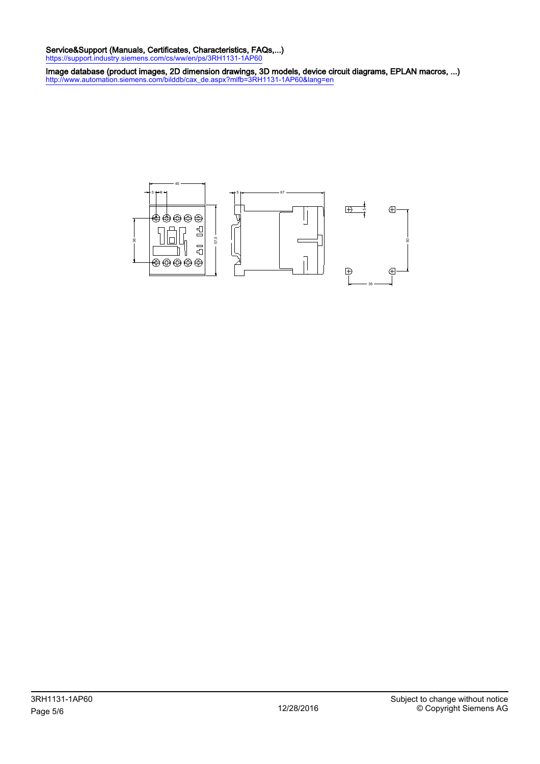### Service&Support (Manuals, Certificates, Characteristics, FAQs,...)

<https://support.industry.siemens.com/cs/ww/en/ps/3RH1131-1AP60>

Image database (product images, 2D dimension drawings, 3D models, device circuit diagrams, EPLAN macros, ...) [http://www.automation.siemens.com/bilddb/cax\\_de.aspx?mlfb=3RH1131-1AP60&lang=en](http://www.automation.siemens.com/bilddb/cax_de.aspx?mlfb=3RH1131-1AP60&lang=en)